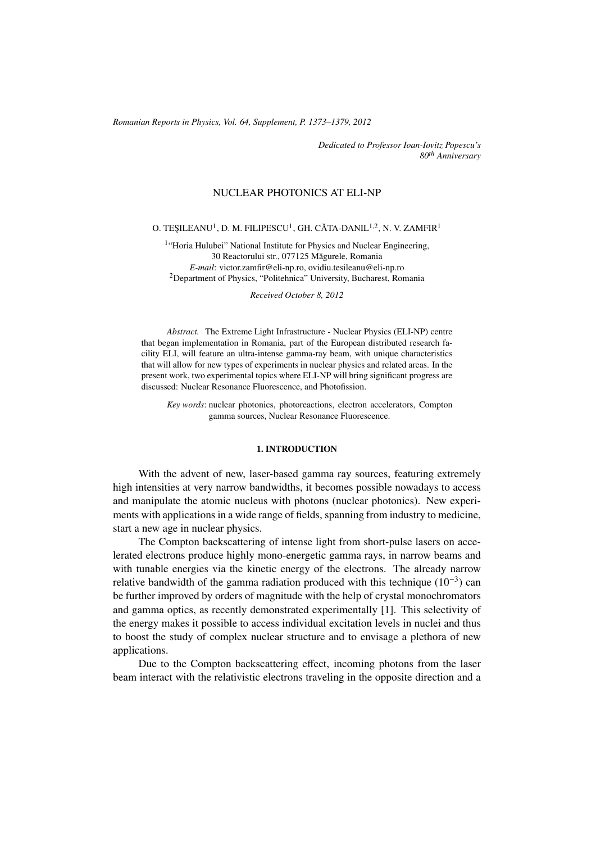(c) RRP 64(Supplement) 1373–1379 2012 *Romanian Reports in Physics, Vol. 64, Supplement, P. 1373–1379, 2012*

*Dedicated to Professor Ioan-Iovitz Popescu's 80th Anniversary*

## NUCLEAR PHOTONICS AT ELI-NP

## O. TEŞILEANU<sup>1</sup>, D. M. FILIPESCU<sup>1</sup>, GH. CĂTA-DANIL<sup>1,2</sup>, N. V. ZAMFIR<sup>1</sup>

<sup>1</sup>"Horia Hulubei" National Institute for Physics and Nuclear Engineering, 30 Reactorului str., 077125 Magurele, Romania ˘ *E-mail*: victor.zamfir@eli-np.ro, ovidiu.tesileanu@eli-np.ro <sup>2</sup>Department of Physics, "Politehnica" University, Bucharest, Romania

*Received October 8, 2012*

*Abstract.* The Extreme Light Infrastructure - Nuclear Physics (ELI-NP) centre that began implementation in Romania, part of the European distributed research facility ELI, will feature an ultra-intense gamma-ray beam, with unique characteristics that will allow for new types of experiments in nuclear physics and related areas. In the present work, two experimental topics where ELI-NP will bring significant progress are discussed: Nuclear Resonance Fluorescence, and Photofission.

*Key words*: nuclear photonics, photoreactions, electron accelerators, Compton gamma sources, Nuclear Resonance Fluorescence.

#### 1. INTRODUCTION

With the advent of new, laser-based gamma ray sources, featuring extremely high intensities at very narrow bandwidths, it becomes possible nowadays to access and manipulate the atomic nucleus with photons (nuclear photonics). New experiments with applications in a wide range of fields, spanning from industry to medicine, start a new age in nuclear physics.

The Compton backscattering of intense light from short-pulse lasers on accelerated electrons produce highly mono-energetic gamma rays, in narrow beams and with tunable energies via the kinetic energy of the electrons. The already narrow relative bandwidth of the gamma radiation produced with this technique  $(10^{-3})$  can be further improved by orders of magnitude with the help of crystal monochromators and gamma optics, as recently demonstrated experimentally [1]. This selectivity of the energy makes it possible to access individual excitation levels in nuclei and thus to boost the study of complex nuclear structure and to envisage a plethora of new applications.

Due to the Compton backscattering effect, incoming photons from the laser beam interact with the relativistic electrons traveling in the opposite direction and a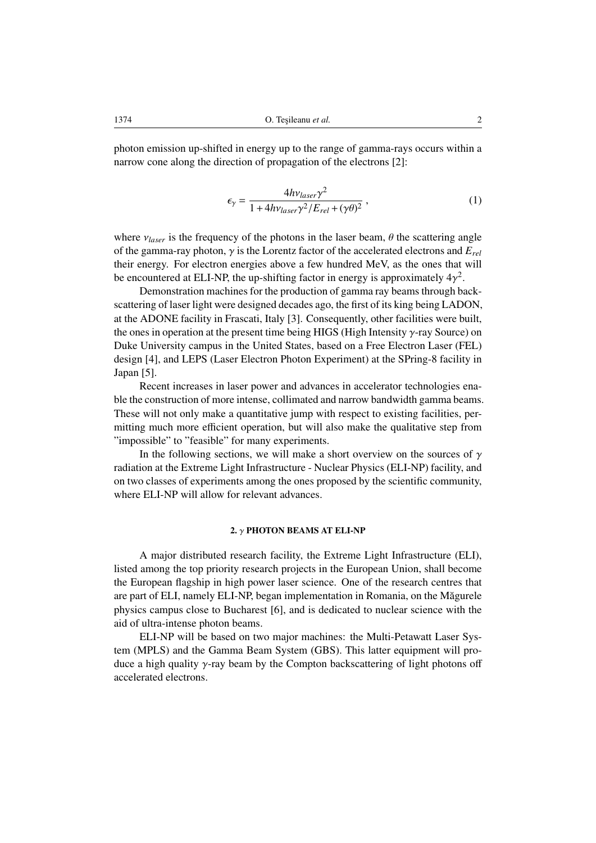photon emission up-shifted in energy up to the range of gamma-rays occurs within a narrow cone along the direction of propagation of the electrons [2]:

$$
\epsilon_{\gamma} = \frac{4h\nu_{laser}\gamma^2}{1 + 4h\nu_{laser}\gamma^2/E_{rel} + (\gamma\theta)^2} \,, \tag{1}
$$

where  $v_{laser}$  is the frequency of the photons in the laser beam,  $\theta$  the scattering angle of the gamma-ray photon, <sup>γ</sup> is the Lorentz factor of the accelerated electrons and *<sup>E</sup>rel* their energy. For electron energies above a few hundred MeV, as the ones that will be encountered at ELI-NP, the up-shifting factor in energy is approximately  $4y^2$ .<br>Demonstration machines for the production of gamma ray beams through by

Demonstration machines for the production of gamma ray beams through backscattering of laser light were designed decades ago, the first of its king being LADON, at the ADONE facility in Frascati, Italy [3]. Consequently, other facilities were built, the ones in operation at the present time being HIGS (High Intensity γ-ray Source) on Duke University campus in the United States, based on a Free Electron Laser (FEL) design [4], and LEPS (Laser Electron Photon Experiment) at the SPring-8 facility in Japan [5].

Recent increases in laser power and advances in accelerator technologies enable the construction of more intense, collimated and narrow bandwidth gamma beams. These will not only make a quantitative jump with respect to existing facilities, permitting much more efficient operation, but will also make the qualitative step from "impossible" to "feasible" for many experiments.

In the following sections, we will make a short overview on the sources of  $\gamma$ radiation at the Extreme Light Infrastructure - Nuclear Physics (ELI-NP) facility, and on two classes of experiments among the ones proposed by the scientific community, where ELI-NP will allow for relevant advances.

#### 2. γ PHOTON BEAMS AT ELI-NP

A major distributed research facility, the Extreme Light Infrastructure (ELI), listed among the top priority research projects in the European Union, shall become the European flagship in high power laser science. One of the research centres that are part of ELI, namely ELI-NP, began implementation in Romania, on the Măgurele physics campus close to Bucharest [6], and is dedicated to nuclear science with the aid of ultra-intense photon beams.

ELI-NP will be based on two major machines: the Multi-Petawatt Laser System (MPLS) and the Gamma Beam System (GBS). This latter equipment will produce a high quality  $\gamma$ -ray beam by the Compton backscattering of light photons off accelerated electrons.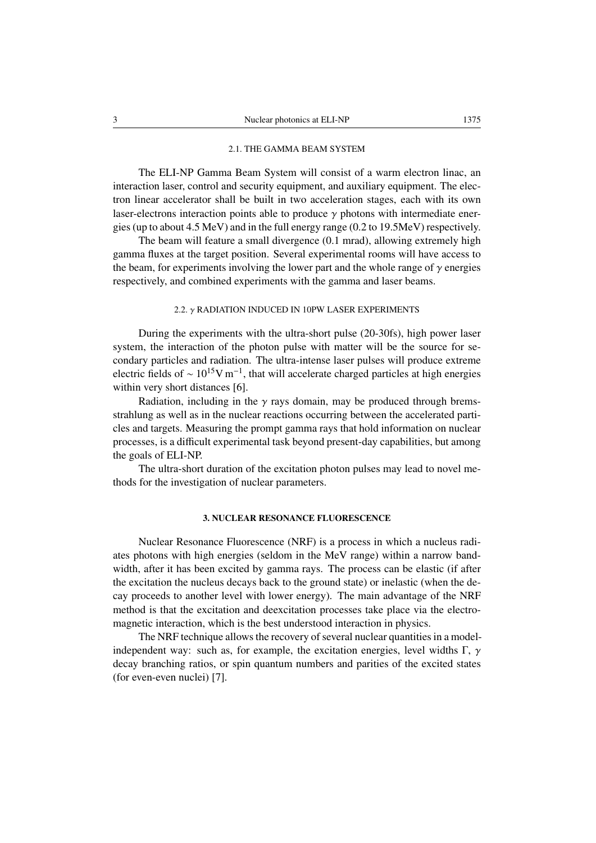#### 2.1. THE GAMMA BEAM SYSTEM

The ELI-NP Gamma Beam System will consist of a warm electron linac, an interaction laser, control and security equipment, and auxiliary equipment. The electron linear accelerator shall be built in two acceleration stages, each with its own laser-electrons interaction points able to produce  $\gamma$  photons with intermediate energies (up to about 4.5 MeV) and in the full energy range (0.2 to 19.5MeV) respectively.

The beam will feature a small divergence (0.1 mrad), allowing extremely high gamma fluxes at the target position. Several experimental rooms will have access to the beam, for experiments involving the lower part and the whole range of  $\gamma$  energies respectively, and combined experiments with the gamma and laser beams.

#### 2.2.  $\gamma$  RADIATION INDUCED IN 10PW LASER EXPERIMENTS

During the experiments with the ultra-short pulse (20-30fs), high power laser system, the interaction of the photon pulse with matter will be the source for secondary particles and radiation. The ultra-intense laser pulses will produce extreme electric fields of  $\sim 10^{15}$ V m<sup>-1</sup>, that will accelerate charged particles at high energies within very short distances [6].

Radiation, including in the  $\gamma$  rays domain, may be produced through bremsstrahlung as well as in the nuclear reactions occurring between the accelerated particles and targets. Measuring the prompt gamma rays that hold information on nuclear processes, is a difficult experimental task beyond present-day capabilities, but among the goals of ELI-NP.

The ultra-short duration of the excitation photon pulses may lead to novel methods for the investigation of nuclear parameters.

#### 3. NUCLEAR RESONANCE FLUORESCENCE

Nuclear Resonance Fluorescence (NRF) is a process in which a nucleus radiates photons with high energies (seldom in the MeV range) within a narrow bandwidth, after it has been excited by gamma rays. The process can be elastic (if after the excitation the nucleus decays back to the ground state) or inelastic (when the decay proceeds to another level with lower energy). The main advantage of the NRF method is that the excitation and deexcitation processes take place via the electromagnetic interaction, which is the best understood interaction in physics.

The NRF technique allows the recovery of several nuclear quantities in a modelindependent way: such as, for example, the excitation energies, level widths Γ,  $\gamma$ decay branching ratios, or spin quantum numbers and parities of the excited states (for even-even nuclei) [7].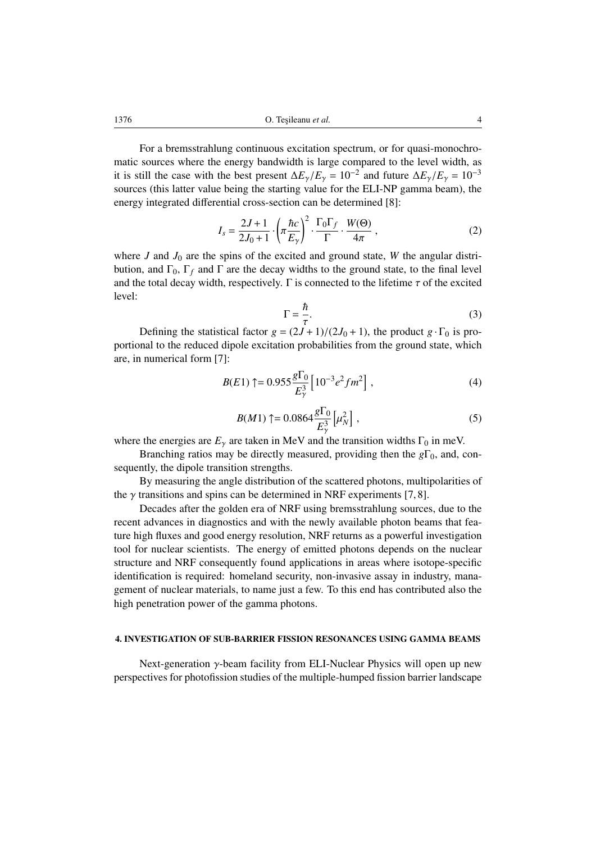For a bremsstrahlung continuous excitation spectrum, or for quasi-monochromatic sources where the energy bandwidth is large compared to the level width, as it is still the case with the best present  $\Delta E_{\gamma}/E_{\gamma} = 10^{-2}$  and future  $\Delta E_{\gamma}/E_{\gamma} = 10^{-3}$ <br>sources (this latter value being the starting value for the ELLNP gamma beam), the sources (this latter value being the starting value for the ELI-NP gamma beam), the energy integrated differential cross-section can be determined [8]:

$$
I_s = \frac{2J+1}{2J_0+1} \cdot \left(\pi \frac{\hbar c}{E_\gamma}\right)^2 \cdot \frac{\Gamma_0 \Gamma_f}{\Gamma} \cdot \frac{W(\Theta)}{4\pi} ,\qquad (2)
$$

where  $J$  and  $J_0$  are the spins of the excited and ground state,  $W$  the angular distribution, and  $\Gamma_0$ ,  $\Gamma_f$  and  $\Gamma$  are the decay widths to the ground state, to the final level and the total decay width, respectively.  $\Gamma$  is connected to the lifetime  $\tau$  of the excited level:

$$
\Gamma = \frac{\hbar}{\tau}.
$$
\n(3)  
\n=  $(2J+1)/(2J_0+1)$ , the product  $g \cdot \Gamma_0$  is pro-

Defining the statistical factor  $g = (2J + 1)/(2J_0 + 1)$ , the product  $g \cdot \Gamma_0$  is pro-<br>and to the reduced dipole excitation probabilities from the ground state, which portional to the reduced dipole excitation probabilities from the ground state, which are, in numerical form [7]:

$$
B(E1) \uparrow = 0.955 \frac{g\Gamma_0}{E_\gamma^3} \left[ 10^{-3} e^2 f m^2 \right],\tag{4}
$$

$$
B(M1) \uparrow = 0.0864 \frac{g\Gamma_0}{E_\gamma^3} \left[ \mu_N^2 \right],\tag{5}
$$

where the energies are  $E_{\gamma}$  are taken in MeV and the transition widths  $\Gamma_0$  in meV.<br>Propeling ratios may be directly measured, providing than the e<sup>T</sup> and a

Branching ratios may be directly measured, providing then the  $g\Gamma_0$ , and, consequently, the dipole transition strengths.

By measuring the angle distribution of the scattered photons, multipolarities of the  $\gamma$  transitions and spins can be determined in NRF experiments [7, 8].

Decades after the golden era of NRF using bremsstrahlung sources, due to the recent advances in diagnostics and with the newly available photon beams that feature high fluxes and good energy resolution, NRF returns as a powerful investigation tool for nuclear scientists. The energy of emitted photons depends on the nuclear structure and NRF consequently found applications in areas where isotope-specific identification is required: homeland security, non-invasive assay in industry, management of nuclear materials, to name just a few. To this end has contributed also the high penetration power of the gamma photons.

### 4. INVESTIGATION OF SUB-BARRIER FISSION RESONANCES USING GAMMA BEAMS

Next-generation γ-beam facility from ELI-Nuclear Physics will open up new perspectives for photofission studies of the multiple-humped fission barrier landscape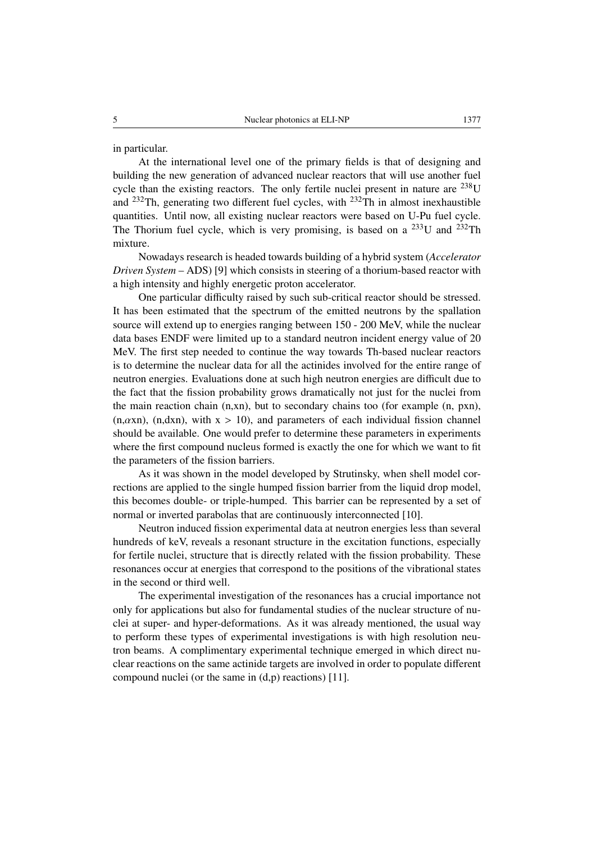in particular.

At the international level one of the primary fields is that of designing and building the new generation of advanced nuclear reactors that will use another fuel cycle than the existing reactors. The only fertile nuclei present in nature are  $^{238}$ U and <sup>232</sup>Th, generating two different fuel cycles, with <sup>232</sup>Th in almost inexhaustible quantities. Until now, all existing nuclear reactors were based on U-Pu fuel cycle. The Thorium fuel cycle, which is very promising, is based on a  $^{233}$ U and  $^{232}$ Th mixture.

Nowadays research is headed towards building of a hybrid system (*Accelerator Driven System* – ADS) [9] which consists in steering of a thorium-based reactor with a high intensity and highly energetic proton accelerator.

One particular difficulty raised by such sub-critical reactor should be stressed. It has been estimated that the spectrum of the emitted neutrons by the spallation source will extend up to energies ranging between 150 - 200 MeV, while the nuclear data bases ENDF were limited up to a standard neutron incident energy value of 20 MeV. The first step needed to continue the way towards Th-based nuclear reactors is to determine the nuclear data for all the actinides involved for the entire range of neutron energies. Evaluations done at such high neutron energies are difficult due to the fact that the fission probability grows dramatically not just for the nuclei from the main reaction chain (n,xn), but to secondary chains too (for example (n, pxn), (n, $\alpha$ xn), (n,dxn), with x > 10), and parameters of each individual fission channel should be available. One would prefer to determine these parameters in experiments where the first compound nucleus formed is exactly the one for which we want to fit the parameters of the fission barriers.

As it was shown in the model developed by Strutinsky, when shell model corrections are applied to the single humped fission barrier from the liquid drop model, this becomes double- or triple-humped. This barrier can be represented by a set of normal or inverted parabolas that are continuously interconnected [10].

Neutron induced fission experimental data at neutron energies less than several hundreds of keV, reveals a resonant structure in the excitation functions, especially for fertile nuclei, structure that is directly related with the fission probability. These resonances occur at energies that correspond to the positions of the vibrational states in the second or third well.

The experimental investigation of the resonances has a crucial importance not only for applications but also for fundamental studies of the nuclear structure of nuclei at super- and hyper-deformations. As it was already mentioned, the usual way to perform these types of experimental investigations is with high resolution neutron beams. A complimentary experimental technique emerged in which direct nuclear reactions on the same actinide targets are involved in order to populate different compound nuclei (or the same in  $(d,p)$  reactions) [11].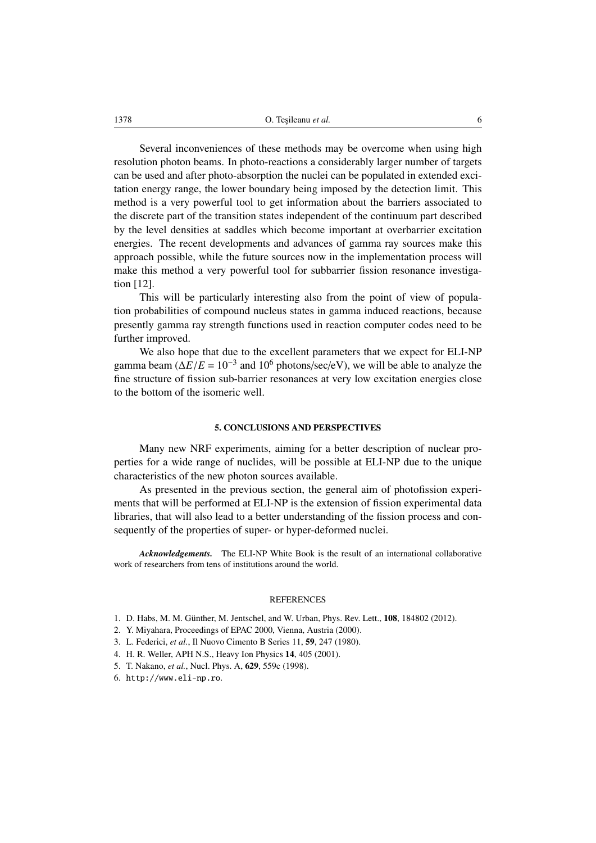Several inconveniences of these methods may be overcome when using high resolution photon beams. In photo-reactions a considerably larger number of targets can be used and after photo-absorption the nuclei can be populated in extended excitation energy range, the lower boundary being imposed by the detection limit. This method is a very powerful tool to get information about the barriers associated to the discrete part of the transition states independent of the continuum part described by the level densities at saddles which become important at overbarrier excitation energies. The recent developments and advances of gamma ray sources make this approach possible, while the future sources now in the implementation process will make this method a very powerful tool for subbarrier fission resonance investigation [12].

This will be particularly interesting also from the point of view of population probabilities of compound nucleus states in gamma induced reactions, because presently gamma ray strength functions used in reaction computer codes need to be further improved.

We also hope that due to the excellent parameters that we expect for ELI-NP gamma beam ( $\Delta E/E = 10^{-3}$  and 10<sup>6</sup> photons/sec/eV), we will be able to analyze the<br>fine structure of fission sub-barrier resonances at very low excitation energies close fine structure of fission sub-barrier resonances at very low excitation energies close to the bottom of the isomeric well.

## 5. CONCLUSIONS AND PERSPECTIVES

Many new NRF experiments, aiming for a better description of nuclear properties for a wide range of nuclides, will be possible at ELI-NP due to the unique characteristics of the new photon sources available.

As presented in the previous section, the general aim of photofission experiments that will be performed at ELI-NP is the extension of fission experimental data libraries, that will also lead to a better understanding of the fission process and consequently of the properties of super- or hyper-deformed nuclei.

*Acknowledgements.* The ELI-NP White Book is the result of an international collaborative work of researchers from tens of institutions around the world.

# **REFERENCES**

- 1. D. Habs, M. M. Günther, M. Jentschel, and W. Urban, Phys. Rev. Lett., 108, 184802 (2012).
- 2. Y. Miyahara, Proceedings of EPAC 2000, Vienna, Austria (2000).
- 3. L. Federici, *et al.*, Il Nuovo Cimento B Series 11, 59, 247 (1980).
- 4. H. R. Weller, APH N.S., Heavy Ion Physics 14, 405 (2001).
- 5. T. Nakano, *et al.*, Nucl. Phys. A, 629, 559c (1998).
- 6. http://www.eli-np.ro.